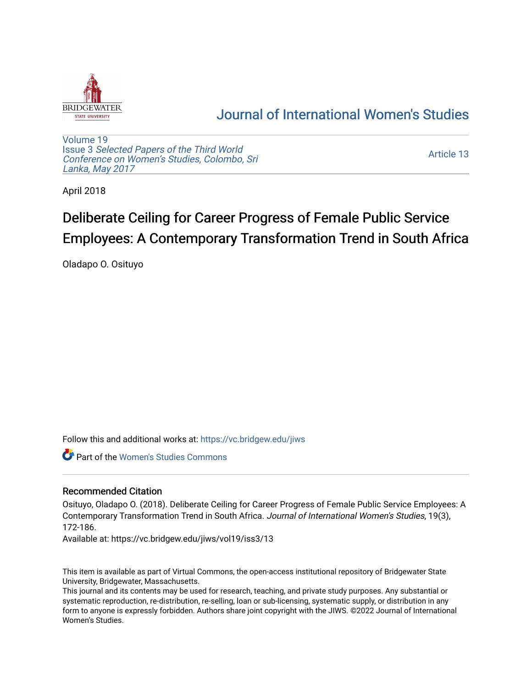

## [Journal of International Women's Studies](https://vc.bridgew.edu/jiws)

[Volume 19](https://vc.bridgew.edu/jiws/vol19) Issue 3 [Selected Papers of the Third World](https://vc.bridgew.edu/jiws/vol19/iss3) [Conference on Women's Studies, Colombo, Sri](https://vc.bridgew.edu/jiws/vol19/iss3)  [Lanka, May 2017](https://vc.bridgew.edu/jiws/vol19/iss3) 

[Article 13](https://vc.bridgew.edu/jiws/vol19/iss3/13) 

April 2018

# Deliberate Ceiling for Career Progress of Female Public Service Employees: A Contemporary Transformation Trend in South Africa

Oladapo O. Osituyo

Follow this and additional works at: [https://vc.bridgew.edu/jiws](https://vc.bridgew.edu/jiws?utm_source=vc.bridgew.edu%2Fjiws%2Fvol19%2Fiss3%2F13&utm_medium=PDF&utm_campaign=PDFCoverPages)

Part of the [Women's Studies Commons](http://network.bepress.com/hgg/discipline/561?utm_source=vc.bridgew.edu%2Fjiws%2Fvol19%2Fiss3%2F13&utm_medium=PDF&utm_campaign=PDFCoverPages) 

#### Recommended Citation

Osituyo, Oladapo O. (2018). Deliberate Ceiling for Career Progress of Female Public Service Employees: A Contemporary Transformation Trend in South Africa. Journal of International Women's Studies, 19(3), 172-186.

Available at: https://vc.bridgew.edu/jiws/vol19/iss3/13

This item is available as part of Virtual Commons, the open-access institutional repository of Bridgewater State University, Bridgewater, Massachusetts.

This journal and its contents may be used for research, teaching, and private study purposes. Any substantial or systematic reproduction, re-distribution, re-selling, loan or sub-licensing, systematic supply, or distribution in any form to anyone is expressly forbidden. Authors share joint copyright with the JIWS. ©2022 Journal of International Women's Studies.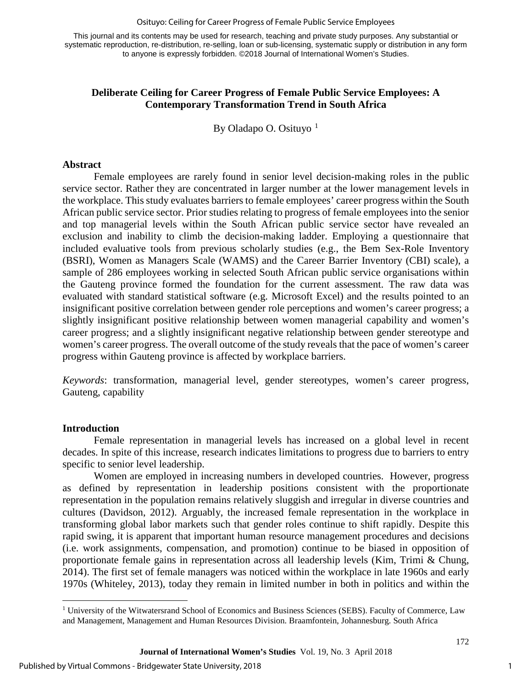#### Osituyo: Ceiling for Career Progress of Female Public Service Employees

This journal and its contents may be used for research, teaching and private study purposes. Any substantial or systematic reproduction, re-distribution, re-selling, loan or sub-licensing, systematic supply or distribution in any form to anyone is expressly forbidden. ©2018 Journal of International Women's Studies.

#### **Deliberate Ceiling for Career Progress of Female Public Service Employees: A Contemporary Transformation Trend in South Africa**

By Oladapo O. Osituyo  $1$ 

#### **Abstract**

Female employees are rarely found in senior level decision-making roles in the public service sector. Rather they are concentrated in larger number at the lower management levels in the workplace. This study evaluates barriers to female employees' career progress within the South African public service sector. Prior studies relating to progress of female employees into the senior and top managerial levels within the South African public service sector have revealed an exclusion and inability to climb the decision-making ladder. Employing a questionnaire that included evaluative tools from previous scholarly studies (e.g., the Bem Sex-Role Inventory (BSRI), Women as Managers Scale (WAMS) and the Career Barrier Inventory (CBI) scale), a sample of 286 employees working in selected South African public service organisations within the Gauteng province formed the foundation for the current assessment. The raw data was evaluated with standard statistical software (e.g. Microsoft Excel) and the results pointed to an insignificant positive correlation between gender role perceptions and women's career progress; a slightly insignificant positive relationship between women managerial capability and women's career progress; and a slightly insignificant negative relationship between gender stereotype and women's career progress. The overall outcome of the study reveals that the pace of women's career progress within Gauteng province is affected by workplace barriers.

*Keywords*: transformation, managerial level, gender stereotypes, women's career progress, Gauteng, capability

#### **Introduction**

l

Female representation in managerial levels has increased on a global level in recent decades. In spite of this increase, research indicates limitations to progress due to barriers to entry specific to senior level leadership.

Women are employed in increasing numbers in developed countries. However, progress as defined by representation in leadership positions consistent with the proportionate representation in the population remains relatively sluggish and irregular in diverse countries and cultures (Davidson, 2012). Arguably, the increased female representation in the workplace in transforming global labor markets such that gender roles continue to shift rapidly. Despite this rapid swing, it is apparent that important human resource management procedures and decisions (i.e. work assignments, compensation, and promotion) continue to be biased in opposition of proportionate female gains in representation across all leadership levels (Kim, Trimi & Chung, 2014). The first set of female managers was noticed within the workplace in late 1960s and early 1970s (Whiteley, 2013), today they remain in limited number in both in politics and within the

<span id="page-1-0"></span><sup>&</sup>lt;sup>1</sup> University of the Witwatersrand School of Economics and Business Sciences (SEBS). Faculty of Commerce, Law and Management, Management and Human Resources Division. Braamfontein, Johannesburg. South Africa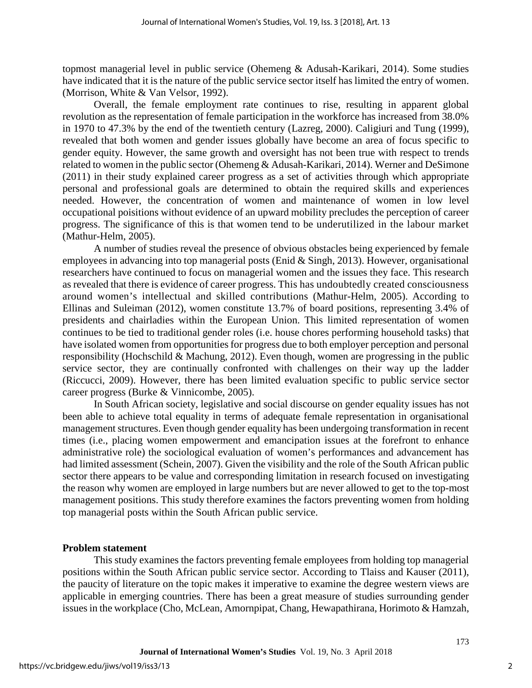topmost managerial level in public service (Ohemeng & Adusah-Karikari, 2014). Some studies have indicated that it is the nature of the public service sector itself has limited the entry of women. (Morrison, White & Van Velsor, 1992).

Overall, the female employment rate continues to rise, resulting in apparent global revolution as the representation of female participation in the workforce has increased from 38.0% in 1970 to 47.3% by the end of the twentieth century (Lazreg, 2000). Caligiuri and Tung (1999), revealed that both women and gender issues globally have become an area of focus specific to gender equity. However, the same growth and oversight has not been true with respect to trends related to women in the public sector (Ohemeng & Adusah-Karikari, 2014). Werner and DeSimone (2011) in their study explained career progress as a set of activities through which appropriate personal and professional goals are determined to obtain the required skills and experiences needed. However, the concentration of women and maintenance of women in low level occupational poisitions without evidence of an upward mobility precludes the perception of career progress. The significance of this is that women tend to be underutilized in the labour market (Mathur-Helm, 2005).

A number of studies reveal the presence of obvious obstacles being experienced by female employees in advancing into top managerial posts (Enid & Singh, 2013). However, organisational researchers have continued to focus on managerial women and the issues they face. This research as revealed that there is evidence of career progress. This has undoubtedly created consciousness around women's intellectual and skilled contributions (Mathur-Helm, 2005). According to Ellinas and Suleiman (2012), women constitute 13.7% of board positions, representing 3.4% of presidents and chairladies within the European Union. This limited representation of women continues to be tied to traditional gender roles (i.e. house chores performing household tasks) that have isolated women from opportunities for progress due to both employer perception and personal responsibility (Hochschild & Machung, 2012). Even though, women are progressing in the public service sector, they are continually confronted with challenges on their way up the ladder (Riccucci, 2009). However, there has been limited evaluation specific to public service sector career progress (Burke & Vinnicombe, 2005).

In South African society, legislative and social discourse on gender equality issues has not been able to achieve total equality in terms of adequate female representation in organisational management structures. Even though gender equality has been undergoing transformation in recent times (i.e., placing women empowerment and emancipation issues at the forefront to enhance administrative role) the sociological evaluation of women's performances and advancement has had limited assessment (Schein, 2007). Given the visibility and the role of the South African public sector there appears to be value and corresponding limitation in research focused on investigating the reason why women are employed in large numbers but are never allowed to get to the top-most management positions. This study therefore examines the factors preventing women from holding top managerial posts within the South African public service.

#### **Problem statement**

This study examines the factors preventing female employees from holding top managerial positions within the South African public service sector. According to Tlaiss and Kauser (2011), the paucity of literature on the topic makes it imperative to examine the degree western views are applicable in emerging countries. There has been a great measure of studies surrounding gender issues in the workplace (Cho, McLean, Amornpipat, Chang, Hewapathirana, Horimoto & Hamzah,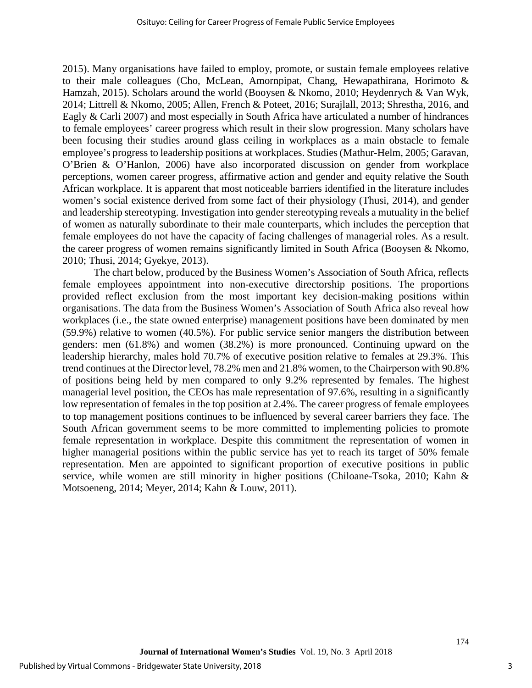2015). Many organisations have failed to employ, promote, or sustain female employees relative to their male colleagues (Cho, McLean, Amornpipat, Chang, Hewapathirana, Horimoto & Hamzah, 2015). Scholars around the world (Booysen & Nkomo, 2010; Heydenrych & Van Wyk, 2014; Littrell & Nkomo, 2005; Allen, French & Poteet, 2016; Surajlall, 2013; Shrestha, 2016, and Eagly & Carli 2007) and most especially in South Africa have articulated a number of hindrances to female employees' career progress which result in their slow progression. Many scholars have been focusing their studies around glass ceiling in workplaces as a main obstacle to female employee's progress to leadership positions at workplaces. Studies (Mathur-Helm, 2005; Garavan, O'Brien & O'Hanlon, 2006) have also incorporated discussion on gender from workplace perceptions, women career progress, affirmative action and gender and equity relative the South African workplace. It is apparent that most noticeable barriers identified in the literature includes women's social existence derived from some fact of their physiology (Thusi, 2014), and gender and leadership stereotyping. Investigation into gender stereotyping reveals a mutuality in the belief of women as naturally subordinate to their male counterparts, which includes the perception that female employees do not have the capacity of facing challenges of managerial roles. As a result. the career progress of women remains significantly limited in South Africa (Booysen & Nkomo, 2010; Thusi, 2014; Gyekye, 2013).

The chart below, produced by the Business Women's Association of South Africa, reflects female employees appointment into non-executive directorship positions. The proportions provided reflect exclusion from the most important key decision-making positions within organisations. The data from the Business Women's Association of South Africa also reveal how workplaces (i.e., the state owned enterprise) management positions have been dominated by men (59.9%) relative to women (40.5%). For public service senior mangers the distribution between genders: men (61.8%) and women (38.2%) is more pronounced. Continuing upward on the leadership hierarchy, males hold 70.7% of executive position relative to females at 29.3%. This trend continues at the Director level, 78.2% men and 21.8% women, to the Chairperson with 90.8% of positions being held by men compared to only 9.2% represented by females. The highest managerial level position, the CEOs has male representation of 97.6%, resulting in a significantly low representation of females in the top position at 2.4%. The career progress of female employees to top management positions continues to be influenced by several career barriers they face. The South African government seems to be more committed to implementing policies to promote female representation in workplace. Despite this commitment the representation of women in higher managerial positions within the public service has yet to reach its target of 50% female representation. Men are appointed to significant proportion of executive positions in public service, while women are still minority in higher positions (Chiloane-Tsoka, 2010; Kahn & Motsoeneng, 2014; Meyer, 2014; Kahn & Louw, 2011).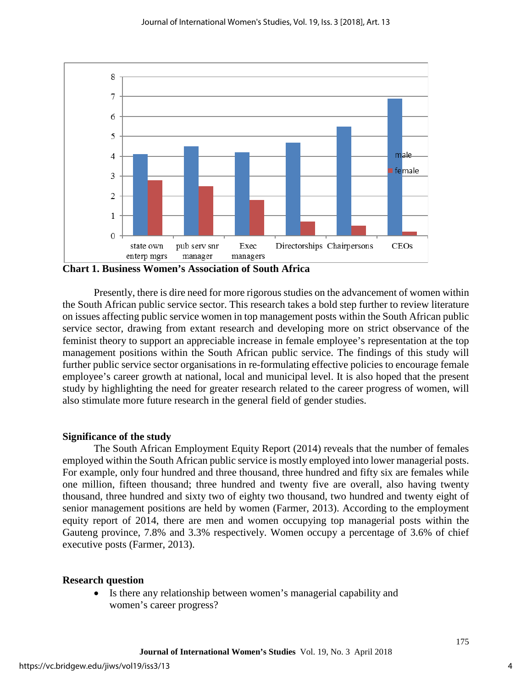

**Chart 1. Business Women's Association of South Africa** 

Presently, there is dire need for more rigorous studies on the advancement of women within the South African public service sector. This research takes a bold step further to review literature on issues affecting public service women in top management posts within the South African public service sector, drawing from extant research and developing more on strict observance of the feminist theory to support an appreciable increase in female employee's representation at the top management positions within the South African public service. The findings of this study will further public service sector organisations in re-formulating effective policies to encourage female employee's career growth at national, local and municipal level. It is also hoped that the present study by highlighting the need for greater research related to the career progress of women, will also stimulate more future research in the general field of gender studies.

#### **Significance of the study**

The South African Employment Equity Report (2014) reveals that the number of females employed within the South African public service is mostly employed into lower managerial posts. For example, only four hundred and three thousand, three hundred and fifty six are females while one million, fifteen thousand; three hundred and twenty five are overall, also having twenty thousand, three hundred and sixty two of eighty two thousand, two hundred and twenty eight of senior management positions are held by women (Farmer, 2013). According to the employment equity report of 2014, there are men and women occupying top managerial posts within the Gauteng province, 7.8% and 3.3% respectively. Women occupy a percentage of 3.6% of chief executive posts (Farmer, 2013).

#### **Research question**

• Is there any relationship between women's managerial capability and women's career progress?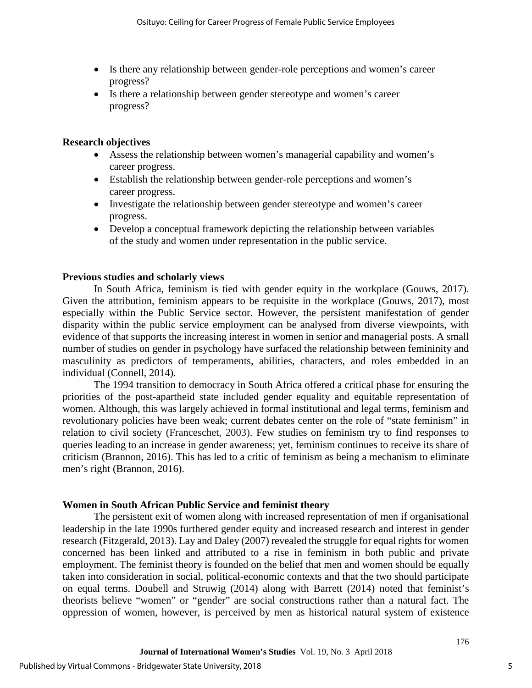- Is there any relationship between gender-role perceptions and women's career progress?
- Is there a relationship between gender stereotype and women's career progress?

#### **Research objectives**

- Assess the relationship between women's managerial capability and women's career progress.
- Establish the relationship between gender-role perceptions and women's career progress.
- Investigate the relationship between gender stereotype and women's career progress.
- Develop a conceptual framework depicting the relationship between variables of the study and women under representation in the public service.

#### **Previous studies and scholarly views**

In South Africa, feminism is tied with gender equity in the workplace (Gouws, 2017). Given the attribution, feminism appears to be requisite in the workplace (Gouws, 2017), most especially within the Public Service sector. However, the persistent manifestation of gender disparity within the public service employment can be analysed from diverse viewpoints, with evidence of that supports the increasing interest in women in senior and managerial posts. A small number of studies on gender in psychology have surfaced the relationship between femininity and masculinity as predictors of temperaments, abilities, characters, and roles embedded in an individual (Connell, 2014).

The 1994 transition to democracy in South Africa offered a critical phase for ensuring the priorities of the post-apartheid state included gender equality and equitable representation of women. Although, this was largely achieved in formal institutional and legal terms, feminism and revolutionary policies have been weak; current debates center on the role of "state feminism" in relation to civil society (Franceschet, 2003). Few studies on feminism try to find responses to queries leading to an increase in gender awareness; yet, feminism continues to receive its share of criticism (Brannon, 2016). This has led to a critic of feminism as being a mechanism to eliminate men's right (Brannon, 2016).

#### **Women in South African Public Service and feminist theory**

The persistent exit of women along with increased representation of men if organisational leadership in the late 1990s furthered gender equity and increased research and interest in gender research (Fitzgerald, 2013). Lay and Daley (2007) revealed the struggle for equal rights for women concerned has been linked and attributed to a rise in feminism in both public and private employment. The feminist theory is founded on the belief that men and women should be equally taken into consideration in social, political-economic contexts and that the two should participate on equal terms. Doubell and Struwig (2014) along with Barrett (2014) noted that feminist's theorists believe "women" or "gender" are social constructions rather than a natural fact. The oppression of women, however, is perceived by men as historical natural system of existence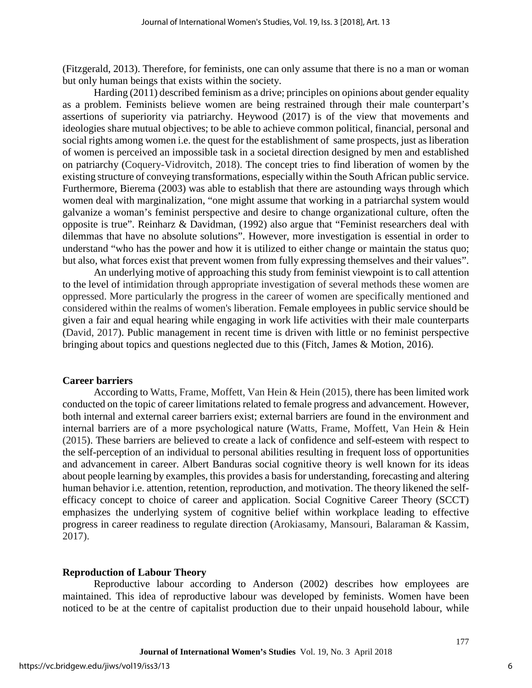(Fitzgerald, 2013). Therefore, for feminists, one can only assume that there is no a man or woman but only human beings that exists within the society.

Harding (2011) described feminism as a drive; principles on opinions about gender equality as a problem. Feminists believe women are being restrained through their male counterpart's assertions of superiority via patriarchy. Heywood (2017) is of the view that movements and ideologies share mutual objectives; to be able to achieve common political, financial, personal and social rights among women i.e. the quest for the establishment of same prospects, just as liberation of women is perceived an impossible task in a societal direction designed by men and established on patriarchy (Coquery-Vidrovitch, 2018). The concept tries to find liberation of women by the existing structure of conveying transformations, especially within the South African public service. Furthermore, Bierema (2003) was able to establish that there are astounding ways through which women deal with marginalization, "one might assume that working in a patriarchal system would galvanize a woman's feminist perspective and desire to change organizational culture, often the opposite is true". Reinharz & Davidman, (1992) also argue that "Feminist researchers deal with dilemmas that have no absolute solutions". However, more investigation is essential in order to understand "who has the power and how it is utilized to either change or maintain the status quo; but also, what forces exist that prevent women from fully expressing themselves and their values".

An underlying motive of approaching this study from feminist viewpoint is to call attention to the level of intimidation through appropriate investigation of several methods these women are oppressed. More particularly the progress in the career of women are specifically mentioned and considered within the realms of women's liberation. Female employees in public service should be given a fair and equal hearing while engaging in work life activities with their male counterparts (David, 2017). Public management in recent time is driven with little or no feminist perspective bringing about topics and questions neglected due to this (Fitch, James & Motion, 2016).

#### **Career barriers**

According to Watts, Frame, Moffett, Van Hein & Hein (2015), there has been limited work conducted on the topic of career limitations related to female progress and advancement. However, both internal and external career barriers exist; external barriers are found in the environment and internal barriers are of a more psychological nature (Watts, Frame, Moffett, Van Hein & Hein (2015). These barriers are believed to create a lack of confidence and self-esteem with respect to the self-perception of an individual to personal abilities resulting in frequent loss of opportunities and advancement in career. Albert Banduras social cognitive theory is well known for its ideas about people learning by examples, this provides a basis for understanding, forecasting and altering human behavior i.e. attention, retention, reproduction, and motivation. The theory likened the selfefficacy concept to choice of career and application. Social Cognitive Career Theory (SCCT) emphasizes the underlying system of cognitive belief within workplace leading to effective progress in career readiness to regulate direction (Arokiasamy, Mansouri, Balaraman & Kassim, 2017).

#### **Reproduction of Labour Theory**

Reproductive labour according to Anderson (2002) describes how employees are maintained. This idea of reproductive labour was developed by feminists. Women have been noticed to be at the centre of capitalist production due to their unpaid household labour, while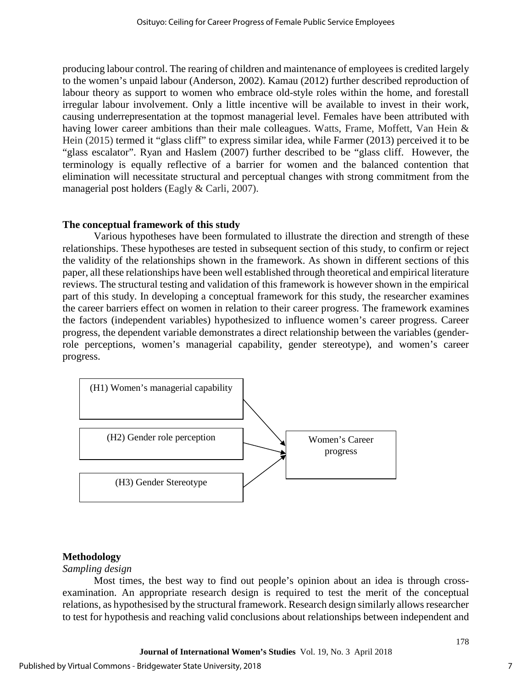producing labour control. The rearing of children and maintenance of employees is credited largely to the women's unpaid labour (Anderson, 2002). Kamau (2012) further described reproduction of labour theory as support to women who embrace old-style roles within the home, and forestall irregular labour involvement. Only a little incentive will be available to invest in their work, causing underrepresentation at the topmost managerial level. Females have been attributed with having lower career ambitions than their male colleagues. Watts, Frame, Moffett, Van Hein & Hein (2015) termed it "glass cliff" to express similar idea, while Farmer (2013) perceived it to be "glass escalator". Ryan and Haslem (2007) further described to be "glass cliff. However, the terminology is equally reflective of a barrier for women and the balanced contention that elimination will necessitate structural and perceptual changes with strong commitment from the managerial post holders (Eagly & Carli, 2007).

#### **The conceptual framework of this study**

Various hypotheses have been formulated to illustrate the direction and strength of these relationships. These hypotheses are tested in subsequent section of this study, to confirm or reject the validity of the relationships shown in the framework. As shown in different sections of this paper, all these relationships have been well established through theoretical and empirical literature reviews. The structural testing and validation of this framework is however shown in the empirical part of this study. In developing a conceptual framework for this study, the researcher examines the career barriers effect on women in relation to their career progress. The framework examines the factors (independent variables) hypothesized to influence women's career progress. Career progress, the dependent variable demonstrates a direct relationship between the variables (genderrole perceptions, women's managerial capability, gender stereotype), and women's career progress.



#### **Methodology**

#### *Sampling design*

Most times, the best way to find out people's opinion about an idea is through crossexamination. An appropriate research design is required to test the merit of the conceptual relations, as hypothesised by the structural framework. Research design similarly allows researcher to test for hypothesis and reaching valid conclusions about relationships between independent and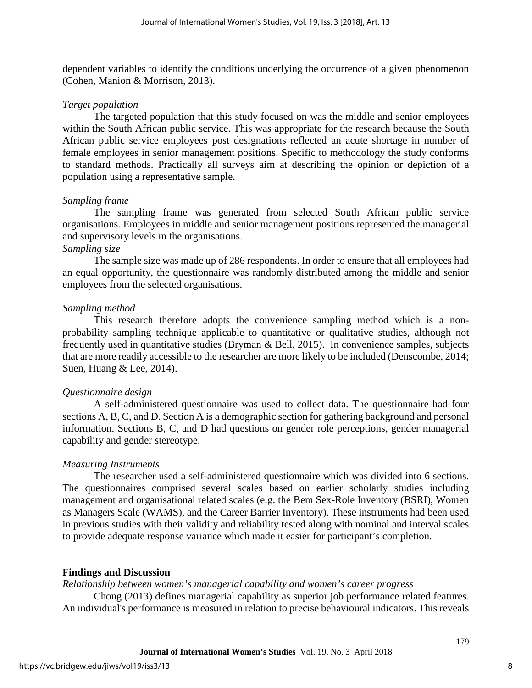dependent variables to identify the conditions underlying the occurrence of a given phenomenon (Cohen, Manion & Morrison, 2013).

#### *Target population*

The targeted population that this study focused on was the middle and senior employees within the South African public service. This was appropriate for the research because the South African public service employees post designations reflected an acute shortage in number of female employees in senior management positions. Specific to methodology the study conforms to standard methods. Practically all surveys aim at describing the opinion or depiction of a population using a representative sample.

#### *Sampling frame*

The sampling frame was generated from selected South African public service organisations. Employees in middle and senior management positions represented the managerial and supervisory levels in the organisations.

#### *Sampling size*

The sample size was made up of 286 respondents. In order to ensure that all employees had an equal opportunity, the questionnaire was randomly distributed among the middle and senior employees from the selected organisations.

#### *Sampling method*

This research therefore adopts the convenience sampling method which is a nonprobability sampling technique applicable to quantitative or qualitative studies, although not frequently used in quantitative studies (Bryman & Bell, 2015). In convenience samples, subjects that are more readily accessible to the researcher are more likely to be included (Denscombe, 2014; Suen, Huang & Lee, 2014).

#### *Questionnaire design*

A self-administered questionnaire was used to collect data. The questionnaire had four sections A, B, C, and D. Section A is a demographic section for gathering background and personal information. Sections B, C, and D had questions on gender role perceptions, gender managerial capability and gender stereotype.

#### *Measuring Instruments*

The researcher used a self-administered questionnaire which was divided into 6 sections. The questionnaires comprised several scales based on earlier scholarly studies including management and organisational related scales (e.g. the Bem Sex-Role Inventory (BSRI), Women as Managers Scale (WAMS), and the Career Barrier Inventory). These instruments had been used in previous studies with their validity and reliability tested along with nominal and interval scales to provide adequate response variance which made it easier for participant's completion.

#### **Findings and Discussion**

*Relationship between women's managerial capability and women's career progress* 

Chong (2013) defines managerial capability as superior job performance related features. An individual's performance is measured in relation to precise behavioural indicators. This reveals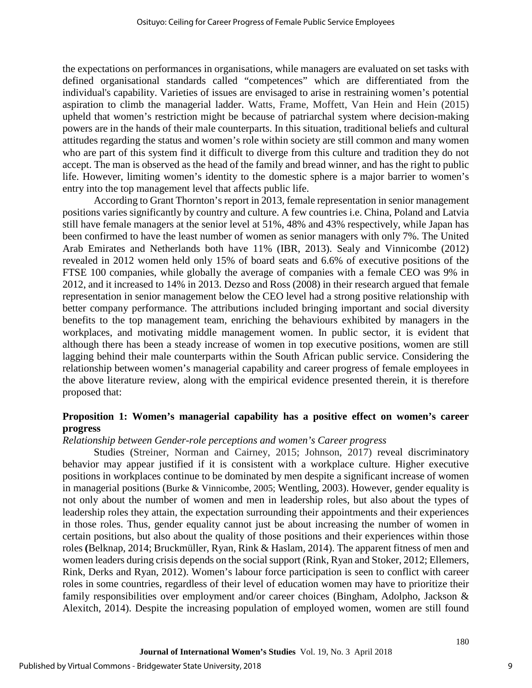the expectations on performances in organisations, while managers are evaluated on set tasks with defined organisational standards called "competences" which are differentiated from the individual's capability. Varieties of issues are envisaged to arise in restraining women's potential aspiration to climb the managerial ladder. Watts, Frame, Moffett, Van Hein and Hein (2015) upheld that women's restriction might be because of patriarchal system where decision-making powers are in the hands of their male counterparts. In this situation, traditional beliefs and cultural attitudes regarding the status and women's role within society are still common and many women who are part of this system find it difficult to diverge from this culture and tradition they do not accept. The man is observed as the head of the family and bread winner, and has the right to public life. However, limiting women's identity to the domestic sphere is a major barrier to women's entry into the top management level that affects public life.

According to Grant Thornton's report in 2013, female representation in senior management positions varies significantly by country and culture. A few countries i.e. China, Poland and Latvia still have female managers at the senior level at 51%, 48% and 43% respectively, while Japan has been confirmed to have the least number of women as senior managers with only 7%. The United Arab Emirates and Netherlands both have 11% (IBR, 2013). Sealy and Vinnicombe (2012) revealed in 2012 women held only 15% of board seats and 6.6% of executive positions of the FTSE 100 companies, while globally the average of companies with a female CEO was 9% in 2012, and it increased to 14% in 2013. Dezso and Ross (2008) in their research argued that female representation in senior management below the CEO level had a strong positive relationship with better company performance. The attributions included bringing important and social diversity benefits to the top management team, enriching the behaviours exhibited by managers in the workplaces, and motivating middle management women. In public sector, it is evident that although there has been a steady increase of women in top executive positions, women are still lagging behind their male counterparts within the South African public service. Considering the relationship between women's managerial capability and career progress of female employees in the above literature review, along with the empirical evidence presented therein, it is therefore proposed that:

#### **Proposition 1: Women's managerial capability has a positive effect on women's career progress**

#### *Relationship between Gender-role perceptions and women's Career progress*

Studies (Streiner, Norman and Cairney, 2015; Johnson, 2017) reveal discriminatory behavior may appear justified if it is consistent with a workplace culture. Higher executive positions in workplaces continue to be dominated by men despite a significant increase of women in managerial positions (Burke & Vinnicombe, 2005; Wentling, 2003). However, gender equality is not only about the number of women and men in leadership roles, but also about the types of leadership roles they attain, the expectation surrounding their appointments and their experiences in those roles. Thus, gender equality cannot just be about increasing the number of women in certain positions, but also about the quality of those positions and their experiences within those roles **(**Belknap, 2014; Bruckmüller, Ryan, Rink & Haslam, 2014). The apparent fitness of men and women leaders during crisis depends on the social support (Rink, Ryan and Stoker, 2012; Ellemers, Rink, Derks and Ryan, 2012). Women's labour force participation is seen to conflict with career roles in some countries, regardless of their level of education women may have to prioritize their family responsibilities over employment and/or career choices (Bingham, Adolpho, Jackson & Alexitch, 2014). Despite the increasing population of employed women, women are still found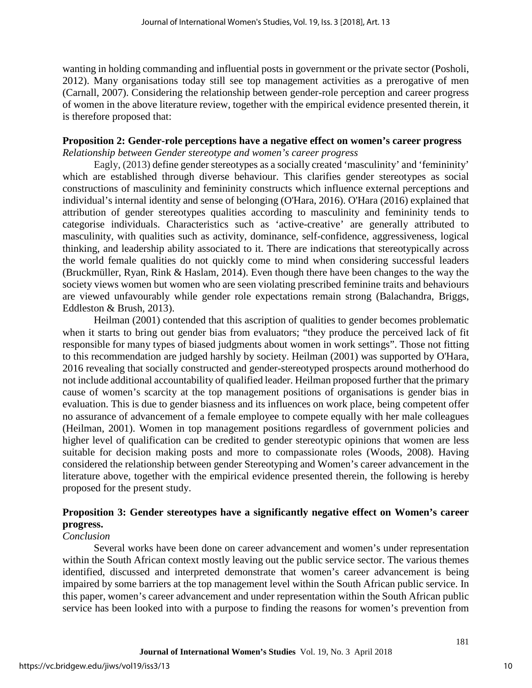wanting in holding commanding and influential posts in government or the private sector (Posholi, 2012). Many organisations today still see top management activities as a prerogative of men (Carnall, 2007). Considering the relationship between gender-role perception and career progress of women in the above literature review, together with the empirical evidence presented therein, it is therefore proposed that:

#### **Proposition 2: Gender-role perceptions have a negative effect on women's career progress** *Relationship between Gender stereotype and women's career progress*

Eagly, (2013) define gender stereotypes as a socially created 'masculinity' and 'femininity' which are established through diverse behaviour. This clarifies gender stereotypes as social constructions of masculinity and femininity constructs which influence external perceptions and individual's internal identity and sense of belonging (O'Hara, 2016). O'Hara (2016) explained that attribution of gender stereotypes qualities according to masculinity and femininity tends to categorise individuals. Characteristics such as 'active-creative' are generally attributed to masculinity, with qualities such as activity, dominance, self-confidence, aggressiveness, logical thinking, and leadership ability associated to it. There are indications that stereotypically across the world female qualities do not quickly come to mind when considering successful leaders (Bruckmüller, Ryan, Rink & Haslam, 2014). Even though there have been changes to the way the society views women but women who are seen violating prescribed feminine traits and behaviours are viewed unfavourably while gender role expectations remain strong (Balachandra, Briggs, Eddleston & Brush, 2013).

Heilman (2001) contended that this ascription of qualities to gender becomes problematic when it starts to bring out gender bias from evaluators; "they produce the perceived lack of fit responsible for many types of biased judgments about women in work settings". Those not fitting to this recommendation are judged harshly by society. Heilman (2001) was supported by O'Hara, 2016 revealing that socially constructed and gender-stereotyped prospects around motherhood do not include additional accountability of qualified leader. Heilman proposed further that the primary cause of women's scarcity at the top management positions of organisations is gender bias in evaluation. This is due to gender biasness and its influences on work place, being competent offer no assurance of advancement of a female employee to compete equally with her male colleagues (Heilman, 2001). Women in top management positions regardless of government policies and higher level of qualification can be credited to gender stereotypic opinions that women are less suitable for decision making posts and more to compassionate roles (Woods, 2008). Having considered the relationship between gender Stereotyping and Women's career advancement in the literature above, together with the empirical evidence presented therein, the following is hereby proposed for the present study.

### **Proposition 3: Gender stereotypes have a significantly negative effect on Women's career progress.**

#### *Conclusion*

Several works have been done on career advancement and women's under representation within the South African context mostly leaving out the public service sector. The various themes identified, discussed and interpreted demonstrate that women's career advancement is being impaired by some barriers at the top management level within the South African public service. In this paper, women's career advancement and under representation within the South African public service has been looked into with a purpose to finding the reasons for women's prevention from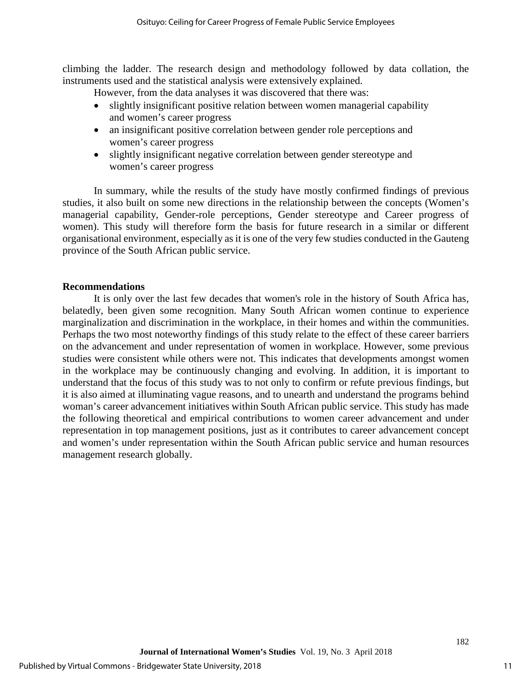climbing the ladder. The research design and methodology followed by data collation, the instruments used and the statistical analysis were extensively explained.

However, from the data analyses it was discovered that there was:

- slightly insignificant positive relation between women managerial capability and women's career progress
- an insignificant positive correlation between gender role perceptions and women's career progress
- slightly insignificant negative correlation between gender stereotype and women's career progress

In summary, while the results of the study have mostly confirmed findings of previous studies, it also built on some new directions in the relationship between the concepts (Women's managerial capability, Gender-role perceptions, Gender stereotype and Career progress of women). This study will therefore form the basis for future research in a similar or different organisational environment, especially as it is one of the very few studies conducted in the Gauteng province of the South African public service.

#### **Recommendations**

It is only over the last few decades that women's role in the history of South Africa has, belatedly, been given some recognition. Many South African women continue to experience marginalization and discrimination in the workplace, in their homes and within the communities. Perhaps the two most noteworthy findings of this study relate to the effect of these career barriers on the advancement and under representation of women in workplace. However, some previous studies were consistent while others were not. This indicates that developments amongst women in the workplace may be continuously changing and evolving. In addition, it is important to understand that the focus of this study was to not only to confirm or refute previous findings, but it is also aimed at illuminating vague reasons, and to unearth and understand the programs behind woman's career advancement initiatives within South African public service. This study has made the following theoretical and empirical contributions to women career advancement and under representation in top management positions, just as it contributes to career advancement concept and women's under representation within the South African public service and human resources management research globally.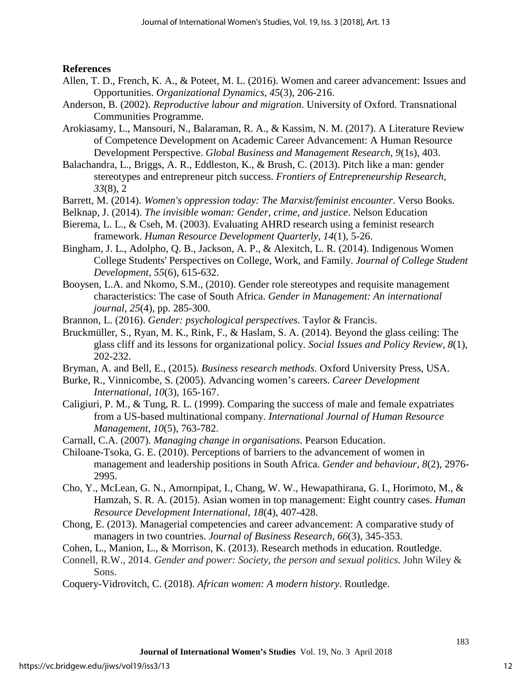#### **References**

- Allen, T. D., French, K. A., & Poteet, M. L. (2016). Women and career advancement: Issues and Opportunities. *Organizational Dynamics*, *45*(3), 206-216.
- Anderson, B. (2002). *Reproductive labour and migration*. University of Oxford. Transnational Communities Programme.
- Arokiasamy, L., Mansouri, N., Balaraman, R. A., & Kassim, N. M. (2017). A Literature Review of Competence Development on Academic Career Advancement: A Human Resource Development Perspective. *Global Business and Management Research*, *9*(1s), 403.

Balachandra, L., Briggs, A. R., Eddleston, K., & Brush, C. (2013). Pitch like a man: gender stereotypes and entrepreneur pitch success. *Frontiers of Entrepreneurship Research*, *33*(8), 2

- Barrett, M. (2014). *Women's oppression today: The Marxist/feminist encounter*. Verso Books.
- Belknap, J. (2014). *The invisible woman: Gender, crime, and justice*. Nelson Education
- Bierema, L. L., & Cseh, M. (2003). Evaluating AHRD research using a feminist research framework. *Human Resource Development Quarterly, 14*(1), 5-26.
- Bingham, J. L., Adolpho, Q. B., Jackson, A. P., & Alexitch, L. R. (2014). Indigenous Women College Students' Perspectives on College, Work, and Family. *Journal of College Student Development*, *55*(6), 615-632.
- Booysen, L.A. and Nkomo, S.M., (2010). Gender role stereotypes and requisite management characteristics: The case of South Africa. *Gender in Management: An international journal*, *25*(4), pp. 285-300.
- Brannon, L. (2016). *Gender: psychological perspectives*. Taylor & Francis.
- Bruckmüller, S., Ryan, M. K., Rink, F., & Haslam, S. A. (2014). Beyond the glass ceiling: The glass cliff and its lessons for organizational policy. *Social Issues and Policy Review*, *8*(1), 202-232.
- Bryman, A. and Bell, E., (2015). *Business research methods*. Oxford University Press, USA.
- Burke, R., Vinnicombe, S. (2005). Advancing women's careers. *Career Development International*, *10*(3), 165-167.
- Caligiuri, P. M., & Tung, R. L. (1999). Comparing the success of male and female expatriates from a US-based multinational company. *International Journal of Human Resource Management*, *10*(5), 763-782.
- Carnall, C.A. (2007). *Managing change in organisations.* Pearson Education.
- Chiloane-Tsoka, G. E. (2010). Perceptions of barriers to the advancement of women in management and leadership positions in South Africa. *Gender and behaviour*, *8*(2), 2976- 2995.
- Cho, Y., McLean, G. N., Amornpipat, I., Chang, W. W., Hewapathirana, G. I., Horimoto, M., & Hamzah, S. R. A. (2015). Asian women in top management: Eight country cases. *Human Resource Development International*, *18*(4), 407-428.
- Chong, E. (2013). Managerial competencies and career advancement: A comparative study of managers in two countries. *Journal of Business Research*, *66*(3), 345-353.
- Cohen, L., Manion, L., & Morrison, K. (2013). Research methods in education. Routledge.
- Connell, R.W., 2014. *Gender and power: Society, the person and sexual politics*. John Wiley & Sons.
- Coquery-Vidrovitch, C. (2018). *African women: A modern history*. Routledge.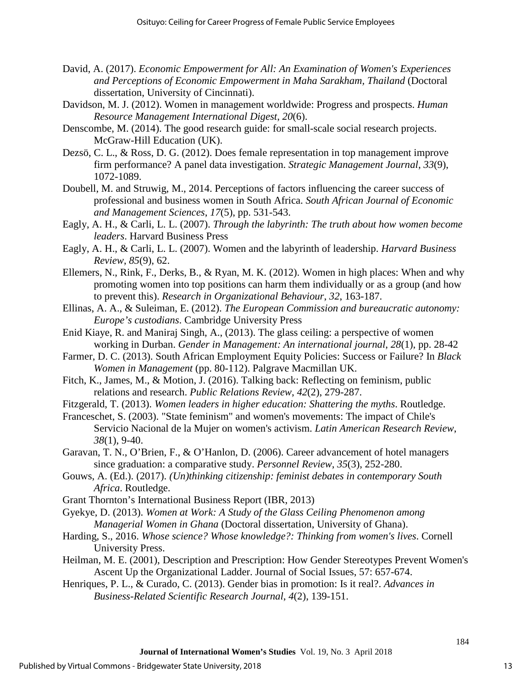- David, A. (2017). *Economic Empowerment for All: An Examination of Women's Experiences and Perceptions of Economic Empowerment in Maha Sarakham, Thailand* (Doctoral dissertation, University of Cincinnati).
- Davidson, M. J. (2012). Women in management worldwide: Progress and prospects. *Human Resource Management International Digest*, *20*(6).
- Denscombe, M. (2014). The good research guide: for small-scale social research projects. McGraw-Hill Education (UK).
- Dezsö, C. L., & Ross, D. G. (2012). Does female representation in top management improve firm performance? A panel data investigation. *Strategic Management Journal*, *33*(9), 1072-1089.
- Doubell, M. and Struwig, M., 2014. Perceptions of factors influencing the career success of professional and business women in South Africa. *South African Journal of Economic and Management Sciences*, *17*(5), pp. 531-543.
- Eagly, A. H., & Carli, L. L. (2007). *Through the labyrinth: The truth about how women become leaders*. Harvard Business Press
- Eagly, A. H., & Carli, L. L. (2007). Women and the labyrinth of leadership. *Harvard Business Review*, *85*(9), 62.
- Ellemers, N., Rink, F., Derks, B., & Ryan, M. K. (2012). Women in high places: When and why promoting women into top positions can harm them individually or as a group (and how to prevent this). *Research in Organizational Behaviour*, *32*, 163-187.
- Ellinas, A. A., & Suleiman, E. (2012). *The European Commission and bureaucratic autonomy: Europe's custodians*. Cambridge University Press
- Enid Kiaye, R. and Maniraj Singh, A., (2013). The glass ceiling: a perspective of women working in Durban. *Gender in Management: An international journal*, *28*(1), pp. 28-42
- Farmer, D. C. (2013). South African Employment Equity Policies: Success or Failure? In *Black Women in Management* (pp. 80-112). Palgrave Macmillan UK.
- Fitch, K., James, M., & Motion, J. (2016). Talking back: Reflecting on feminism, public relations and research. *Public Relations Review*, *42*(2), 279-287.
- Fitzgerald, T. (2013). *Women leaders in higher education: Shattering the myths*. Routledge.
- Franceschet, S. (2003). "State feminism" and women's movements: The impact of Chile's Servicio Nacional de la Mujer on women's activism. *Latin American Research Review*, *38*(1), 9-40.
- Garavan, T. N., O'Brien, F., & O'Hanlon, D. (2006). Career advancement of hotel managers since graduation: a comparative study. *Personnel Review*, *35*(3), 252-280.
- Gouws, A. (Ed.). (2017). *(Un)thinking citizenship: feminist debates in contemporary South Africa*. Routledge.
- Grant Thornton's International Business Report (IBR, 2013)
- Gyekye, D. (2013). *Women at Work: A Study of the Glass Ceiling Phenomenon among Managerial Women in Ghana* (Doctoral dissertation, University of Ghana).
- Harding, S., 2016. *Whose science? Whose knowledge?: Thinking from women's lives*. Cornell University Press.
- Heilman, M. E. (2001), Description and Prescription: How Gender Stereotypes Prevent Women's Ascent Up the Organizational Ladder. Journal of Social Issues, 57: 657-674.
- Henriques, P. L., & Curado, C. (2013). Gender bias in promotion: Is it real?. *Advances in Business-Related Scientific Research Journal*, *4*(2), 139-151.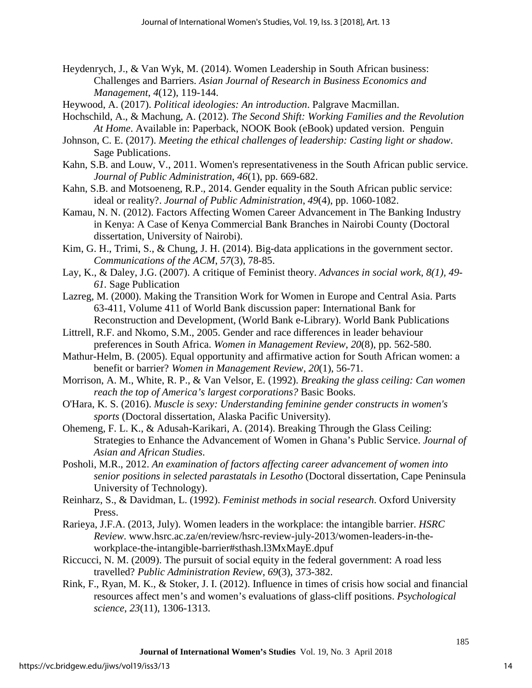- Heydenrych, J., & Van Wyk, M. (2014). Women Leadership in South African business: Challenges and Barriers. *Asian Journal of Research in Business Economics and Management*, *4*(12), 119-144.
- Heywood, A. (2017). *Political ideologies: An introduction*. Palgrave Macmillan.
- Hochschild, A., & Machung, A. (2012). *The Second Shift: Working Families and the Revolution At Home*. Available in: Paperback, NOOK Book (eBook) updated version. Penguin
- Johnson, C. E. (2017). *Meeting the ethical challenges of leadership: Casting light or shadow*. Sage Publications.
- Kahn, S.B. and Louw, V., 2011. Women's representativeness in the South African public service. *Journal of Public Administration*, *46*(1), pp. 669-682.
- Kahn, S.B. and Motsoeneng, R.P., 2014. Gender equality in the South African public service: ideal or reality?. *Journal of Public Administration*, *49*(4), pp. 1060-1082.
- Kamau, N. N. (2012). Factors Affecting Women Career Advancement in The Banking Industry in Kenya: A Case of Kenya Commercial Bank Branches in Nairobi County (Doctoral dissertation, University of Nairobi).
- Kim, G. H., Trimi, S., & Chung, J. H. (2014). Big-data applications in the government sector. *Communications of the ACM*, *57*(3), 78-85.
- Lay, K., & Daley, J.G. (2007). A critique of Feminist theory. *Advances in social work, 8(1), 49- 61.* Sage Publication
- Lazreg, M. (2000). Making the Transition Work for Women in Europe and Central Asia. Parts 63-411, Volume 411 of World Bank discussion paper: International Bank for Reconstruction and Development, [\(World Bank e-Library\)](https://www.google.co.za/search?tbo=p&tbm=bks&q=bibliogroup:%22World+Bank+e-Library%22&source=gbs_metadata_r&cad=9). World Bank Publications
- Littrell, R.F. and Nkomo, S.M., 2005. Gender and race differences in leader behaviour preferences in South Africa. *Women in Management Review*, *20*(8), pp. 562-580.
- Mathur-Helm, B. (2005). Equal opportunity and affirmative action for South African women: a benefit or barrier? *Women in Management Review*, *20*(1), 56-71.
- Morrison, A. M., White, R. P., & Van Velsor, E. (1992). *Breaking the glass ceiling: Can women reach the top of America's largest corporations?* Basic Books.
- O'Hara, K. S. (2016). *Muscle is sexy: Understanding feminine gender constructs in women's sports* (Doctoral dissertation, Alaska Pacific University).
- Ohemeng, F. L. K., & Adusah-Karikari, A. (2014). Breaking Through the Glass Ceiling: Strategies to Enhance the Advancement of Women in Ghana's Public Service. *Journal of Asian and African Studies*.
- Posholi, M.R., 2012. *An examination of factors affecting career advancement of women into senior positions in selected parastatals in Lesotho* (Doctoral dissertation, Cape Peninsula University of Technology).
- Reinharz, S., & Davidman, L. (1992). *Feminist methods in social research*. Oxford University Press.
- Rarieya, J.F.A. (2013, July). Women leaders in the workplace: the intangible barrier. *HSRC Review*. www.hsrc.ac.za/en/review/hsrc-review-july-2013/women-leaders-in-theworkplace-the-intangible-barrier#sthash.l3MxMayE.dpuf
- Riccucci, N. M. (2009). The pursuit of social equity in the federal government: A road less travelled? *Public Administration Review*, *69*(3), 373-382.
- Rink, F., Ryan, M. K., & Stoker, J. I. (2012). Influence in times of crisis how social and financial resources affect men's and women's evaluations of glass-cliff positions. *Psychological science*, *23*(11), 1306-1313.